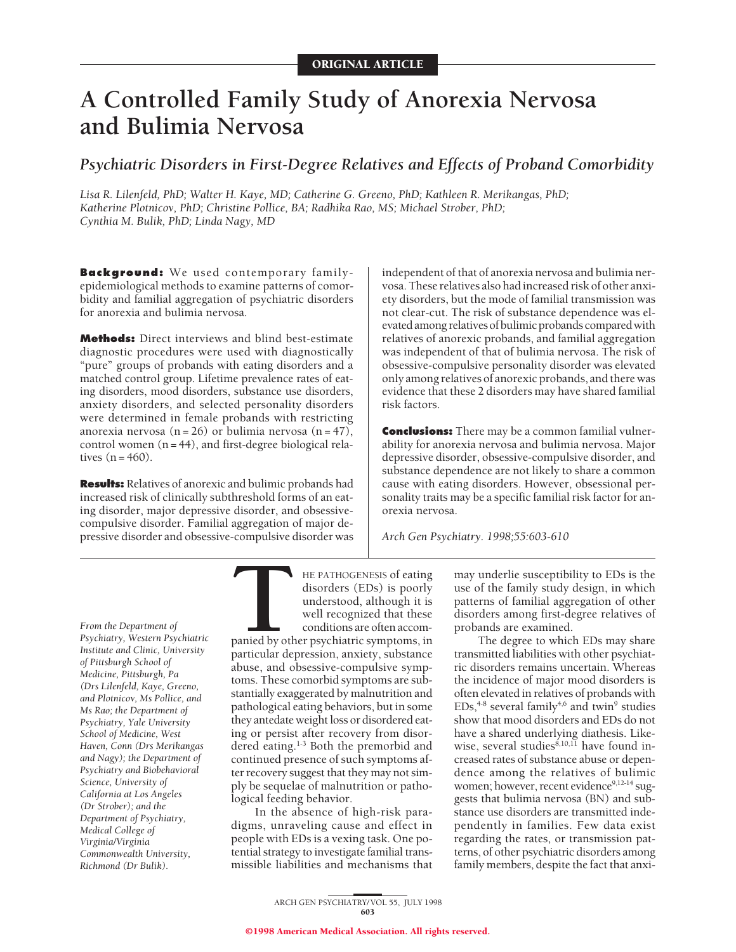# **A Controlled Family Study of Anorexia Nervosa and Bulimia Nervosa**

*Psychiatric Disorders in First-Degree Relatives and Effects of Proband Comorbidity*

*Lisa R. Lilenfeld, PhD; Walter H. Kaye, MD; Catherine G. Greeno, PhD; Kathleen R. Merikangas, PhD; Katherine Plotnicov, PhD; Christine Pollice, BA; Radhika Rao, MS; Michael Strober, PhD; Cynthia M. Bulik, PhD; Linda Nagy, MD*

**Background:** We used contemporary familyepidemiological methods to examine patterns of comorbidity and familial aggregation of psychiatric disorders for anorexia and bulimia nervosa.

**Methods:** Direct interviews and blind best-estimate diagnostic procedures were used with diagnostically "pure" groups of probands with eating disorders and a matched control group. Lifetime prevalence rates of eating disorders, mood disorders, substance use disorders, anxiety disorders, and selected personality disorders were determined in female probands with restricting anorexia nervosa  $(n = 26)$  or bulimia nervosa  $(n = 47)$ , control women  $(n = 44)$ , and first-degree biological relatives  $(n = 460)$ .

**Results:** Relatives of anorexic and bulimic probands had increased risk of clinically subthreshold forms of an eating disorder, major depressive disorder, and obsessivecompulsive disorder. Familial aggregation of major depressive disorder and obsessive-compulsive disorder was

independent of that of anorexia nervosa and bulimia nervosa. These relatives also had increased risk of other anxiety disorders, but the mode of familial transmission was not clear-cut. The risk of substance dependence was elevated among relatives of bulimic probands compared with relatives of anorexic probands, and familial aggregation was independent of that of bulimia nervosa. The risk of obsessive-compulsive personality disorder was elevated only among relatives of anorexic probands, and there was evidence that these 2 disorders may have shared familial risk factors.

**Conclusions:** There may be a common familial vulnerability for anorexia nervosa and bulimia nervosa. Major depressive disorder, obsessive-compulsive disorder, and substance dependence are not likely to share a common cause with eating disorders. However, obsessional personality traits may be a specific familial risk factor for anorexia nervosa.

*Arch Gen Psychiatry. 1998;55:603-610*

*From the Department of Psychiatry, Western Psychiatric Institute and Clinic, University of Pittsburgh School of Medicine, Pittsburgh, Pa (Drs Lilenfeld, Kaye, Greeno, and Plotnicov, Ms Pollice, and Ms Rao; the Department of Psychiatry, Yale University School of Medicine, West Haven, Conn (Drs Merikangas and Nagy); the Department of Psychiatry and Biobehavioral Science, University of California at Los Angeles (Dr Strober); and the Department of Psychiatry, Medical College of Virginia/Virginia Commonwealth University, Richmond (Dr Bulik).*

THE PATHOGENESIS of eating<br>disorders (EDs) is poorly<br>understood, although it is<br>well recognized that these<br>conditions are often accom-<br>panied by other psychiatric symptoms, in<br>particular depression, anxiety, substance disorders (EDs) is poorly understood, although it is well recognized that these conditions are often accompanied by other psychiatric symptoms, in particular depression, anxiety, substance abuse, and obsessive-compulsive symptoms. These comorbid symptoms are substantially exaggerated by malnutrition and pathological eating behaviors, but in some they antedate weight loss or disordered eating or persist after recovery from disordered eating.1-3 Both the premorbid and continued presence of such symptoms after recovery suggest that they may not simply be sequelae of malnutrition or pathological feeding behavior.

In the absence of high-risk paradigms, unraveling cause and effect in people with EDs is a vexing task. One potential strategy to investigate familial transmissible liabilities and mechanisms that

may underlie susceptibility to EDs is the use of the family study design, in which patterns of familial aggregation of other disorders among first-degree relatives of probands are examined.

The degree to which EDs may share transmitted liabilities with other psychiatric disorders remains uncertain. Whereas the incidence of major mood disorders is often elevated in relatives of probands with  $EDs<sub>1+8</sub>$  several family<sup>4,6</sup> and twin<sup>9</sup> studies show that mood disorders and EDs do not have a shared underlying diathesis. Likewise, several studies<sup>8,10,11</sup> have found increased rates of substance abuse or dependence among the relatives of bulimic women; however, recent evidence<sup>9,12-14</sup> suggests that bulimia nervosa (BN) and substance use disorders are transmitted independently in families. Few data exist regarding the rates, or transmission patterns, of other psychiatric disorders among family members, despite the fact that anxi-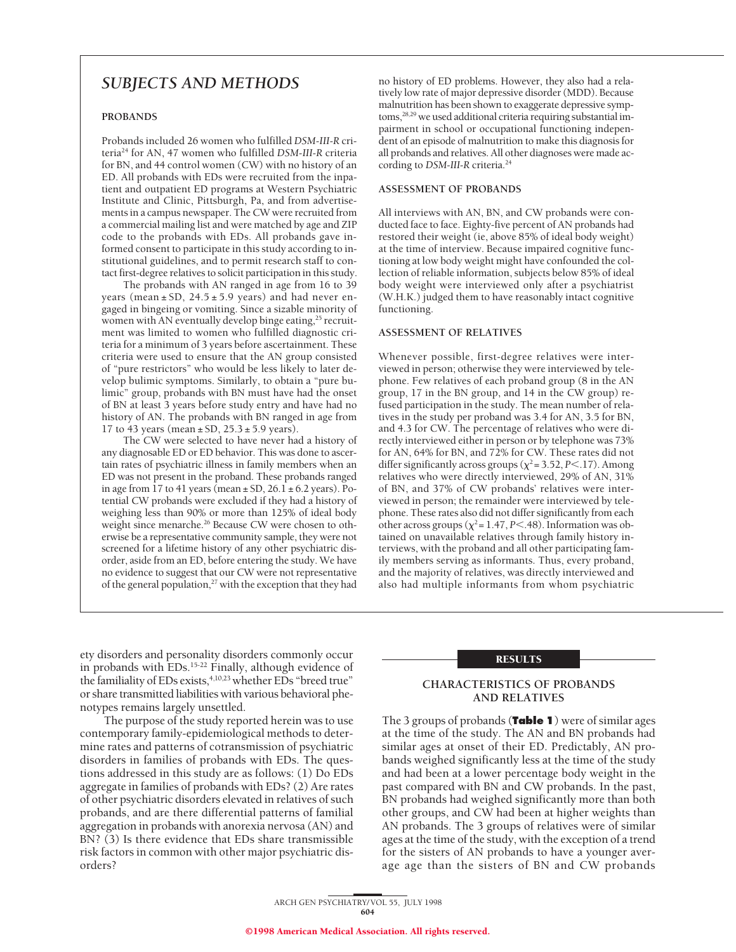# *SUBJECTS AND METHODS*

# **PROBANDS**

Probands included 26 women who fulfilled *DSM-III-R* criteria24 for AN, 47 women who fulfilled *DSM-III-R* criteria for BN, and 44 control women (CW) with no history of an ED. All probands with EDs were recruited from the inpatient and outpatient ED programs at Western Psychiatric Institute and Clinic, Pittsburgh, Pa, and from advertisements in a campus newspaper. The CW were recruited from a commercial mailing list and were matched by age and ZIP code to the probands with EDs. All probands gave informed consent to participate in this study according to institutional guidelines, and to permit research staff to contact first-degree relatives to solicit participation in this study.

The probands with AN ranged in age from 16 to 39 years (mean  $\pm$  SD, 24.5  $\pm$  5.9 years) and had never engaged in bingeing or vomiting. Since a sizable minority of women with AN eventually develop binge eating,<sup>25</sup> recruitment was limited to women who fulfilled diagnostic criteria for a minimum of 3 years before ascertainment. These criteria were used to ensure that the AN group consisted of "pure restrictors" who would be less likely to later develop bulimic symptoms. Similarly, to obtain a "pure bulimic" group, probands with BN must have had the onset of BN at least 3 years before study entry and have had no history of AN. The probands with BN ranged in age from 17 to 43 years (mean  $\pm$  SD, 25.3  $\pm$  5.9 years).

The CW were selected to have never had a history of any diagnosable ED or ED behavior. This was done to ascertain rates of psychiatric illness in family members when an ED was not present in the proband. These probands ranged in age from 17 to 41 years (mean  $\pm$  SD, 26.1  $\pm$  6.2 years). Potential CW probands were excluded if they had a history of weighing less than 90% or more than 125% of ideal body weight since menarche.<sup>26</sup> Because CW were chosen to otherwise be a representative community sample, they were not screened for a lifetime history of any other psychiatric disorder, aside from an ED, before entering the study. We have no evidence to suggest that our CW were not representative of the general population,<sup>27</sup> with the exception that they had

no history of ED problems. However, they also had a relatively low rate of major depressive disorder (MDD). Because malnutrition has been shown to exaggerate depressive symptoms,<sup>28,29</sup> we used additional criteria requiring substantial impairment in school or occupational functioning independent of an episode of malnutrition to make this diagnosis for all probands and relatives. All other diagnoses were made according to *DSM-III-R* criteria.24

#### **ASSESSMENT OF PROBANDS**

All interviews with AN, BN, and CW probands were conducted face to face. Eighty-five percent of AN probands had restored their weight (ie, above 85% of ideal body weight) at the time of interview. Because impaired cognitive functioning at low body weight might have confounded the collection of reliable information, subjects below 85% of ideal body weight were interviewed only after a psychiatrist (W.H.K.) judged them to have reasonably intact cognitive functioning.

#### **ASSESSMENT OF RELATIVES**

Whenever possible, first-degree relatives were interviewed in person; otherwise they were interviewed by telephone. Few relatives of each proband group (8 in the AN group, 17 in the BN group, and 14 in the CW group) refused participation in the study. The mean number of relatives in the study per proband was 3.4 for AN, 3.5 for BN, and 4.3 for CW. The percentage of relatives who were directly interviewed either in person or by telephone was 73% for AN, 64% for BN, and 72% for CW. These rates did not differ significantly across groups  $(\chi^2 = 3.52, P < .17)$ . Among relatives who were directly interviewed, 29% of AN, 31% of BN, and 37% of CW probands' relatives were interviewed in person; the remainder were interviewed by telephone. These rates also did not differ significantly from each other across groups ( $\chi^2$  = 1.47, *P*<.48). Information was obtained on unavailable relatives through family history interviews, with the proband and all other participating family members serving as informants. Thus, every proband, and the majority of relatives, was directly interviewed and also had multiple informants from whom psychiatric

RESULTS

# **CHARACTERISTICS OF PROBANDS AND RELATIVES**

The 3 groups of probands (**Table 1**) were of similar ages at the time of the study. The AN and BN probands had similar ages at onset of their ED. Predictably, AN probands weighed significantly less at the time of the study and had been at a lower percentage body weight in the past compared with BN and CW probands. In the past, BN probands had weighed significantly more than both other groups, and CW had been at higher weights than AN probands. The 3 groups of relatives were of similar ages at the time of the study, with the exception of a trend for the sisters of AN probands to have a younger average age than the sisters of BN and CW probands

ety disorders and personality disorders commonly occur in probands with EDs.<sup>15-22</sup> Finally, although evidence of the familiality of EDs exists,<sup>4,10,23</sup> whether EDs "breed true" or share transmitted liabilities with various behavioral phenotypes remains largely unsettled.

The purpose of the study reported herein was to use contemporary family-epidemiological methods to determine rates and patterns of cotransmission of psychiatric disorders in families of probands with EDs. The questions addressed in this study are as follows: (1) Do EDs aggregate in families of probands with EDs? (2) Are rates of other psychiatric disorders elevated in relatives of such probands, and are there differential patterns of familial aggregation in probands with anorexia nervosa (AN) and BN? (3) Is there evidence that EDs share transmissible risk factors in common with other major psychiatric disorders?

> ARCH GEN PSYCHIATRY/ VOL 55, JULY 1998 604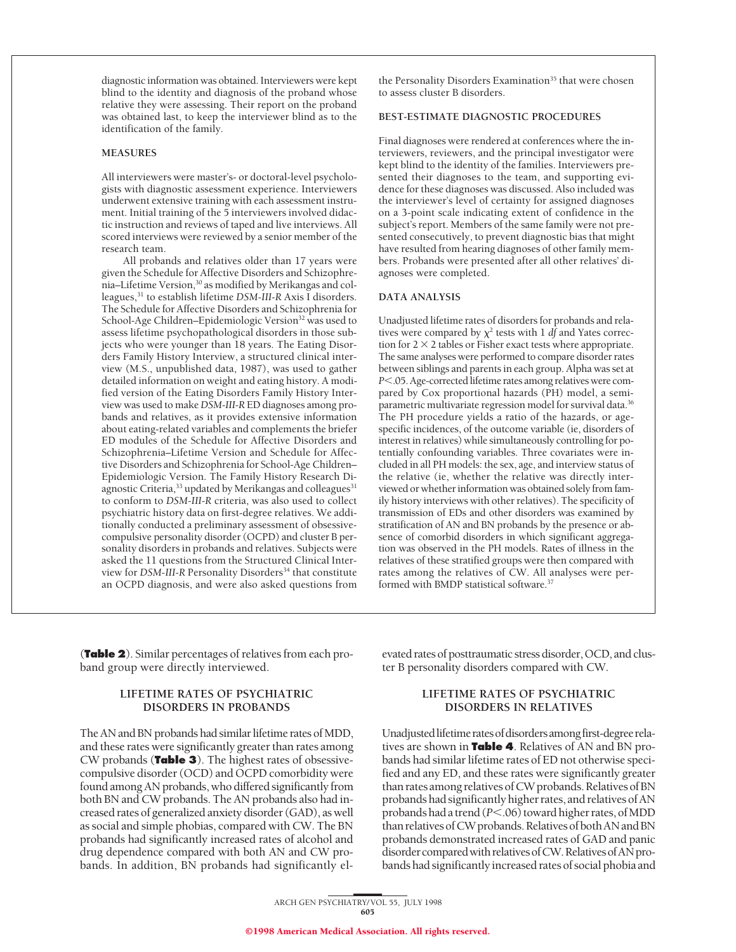diagnostic information was obtained. Interviewers were kept blind to the identity and diagnosis of the proband whose relative they were assessing. Their report on the proband was obtained last, to keep the interviewer blind as to the identification of the family.

#### **MEASURES**

All interviewers were master's- or doctoral-level psychologists with diagnostic assessment experience. Interviewers underwent extensive training with each assessment instrument. Initial training of the 5 interviewers involved didactic instruction and reviews of taped and live interviews. All scored interviews were reviewed by a senior member of the research team.

All probands and relatives older than 17 years were given the Schedule for Affective Disorders and Schizophrenia–Lifetime Version,30 as modified by Merikangas and colleagues,31 to establish lifetime *DSM-III-R* Axis I disorders. The Schedule for Affective Disorders and Schizophrenia for School-Age Children–Epidemiologic Version<sup>32</sup> was used to assess lifetime psychopathological disorders in those subjects who were younger than 18 years. The Eating Disorders Family History Interview, a structured clinical interview (M.S., unpublished data, 1987), was used to gather detailed information on weight and eating history. A modified version of the Eating Disorders Family History Interview was used to make *DSM-III-R* ED diagnoses among probands and relatives, as it provides extensive information about eating-related variables and complements the briefer ED modules of the Schedule for Affective Disorders and Schizophrenia–Lifetime Version and Schedule for Affective Disorders and Schizophrenia for School-Age Children– Epidemiologic Version. The Family History Research Diagnostic Criteria,<sup>33</sup> updated by Merikangas and colleagues<sup>31</sup> to conform to *DSM-III-R* criteria, was also used to collect psychiatric history data on first-degree relatives. We additionally conducted a preliminary assessment of obsessivecompulsive personality disorder (OCPD) and cluster B personality disorders in probands and relatives. Subjects were asked the 11 questions from the Structured Clinical Interview for *DSM-III-R* Personality Disorders<sup>34</sup> that constitute an OCPD diagnosis, and were also asked questions from

the Personality Disorders Examination<sup>35</sup> that were chosen to assess cluster B disorders.

# **BEST-ESTIMATE DIAGNOSTIC PROCEDURES**

Final diagnoses were rendered at conferences where the interviewers, reviewers, and the principal investigator were kept blind to the identity of the families. Interviewers presented their diagnoses to the team, and supporting evidence for these diagnoses was discussed. Also included was the interviewer's level of certainty for assigned diagnoses on a 3-point scale indicating extent of confidence in the subject's report. Members of the same family were not presented consecutively, to prevent diagnostic bias that might have resulted from hearing diagnoses of other family members. Probands were presented after all other relatives' diagnoses were completed.

#### **DATA ANALYSIS**

Unadjusted lifetime rates of disorders for probands and relatives were compared by  $\chi^2$  tests with 1 *df* and Yates correction for  $2 \times 2$  tables or Fisher exact tests where appropriate. The same analyses were performed to compare disorder rates between siblings and parents in each group. Alpha was set at *P*<.05. Age-corrected lifetime rates among relatives were compared by Cox proportional hazards (PH) model, a semiparametric multivariate regression model for survival data.<sup>36</sup> The PH procedure yields a ratio of the hazards, or agespecific incidences, of the outcome variable (ie, disorders of interest in relatives) while simultaneously controlling for potentially confounding variables. Three covariates were included in all PH models: the sex, age, and interview status of the relative (ie, whether the relative was directly interviewed or whether information was obtained solely from family history interviews with other relatives). The specificity of transmission of EDs and other disorders was examined by stratification of AN and BN probands by the presence or absence of comorbid disorders in which significant aggregation was observed in the PH models. Rates of illness in the relatives of these stratified groups were then compared with rates among the relatives of CW. All analyses were performed with BMDP statistical software.<sup>37</sup>

(**Table 2**). Similar percentages of relatives from each proband group were directly interviewed.

# **LIFETIME RATES OF PSYCHIATRIC DISORDERS IN PROBANDS**

The AN and BN probands had similar lifetime rates of MDD, and these rates were significantly greater than rates among CW probands (**Table 3**). The highest rates of obsessivecompulsive disorder (OCD) and OCPD comorbidity were found among AN probands, who differed significantly from both BN and CW probands. The AN probands also had increased rates of generalized anxiety disorder (GAD), as well as social and simple phobias, compared with CW. The BN probands had significantly increased rates of alcohol and drug dependence compared with both AN and CW probands. In addition, BN probands had significantly elevated rates of posttraumatic stress disorder, OCD, and cluster B personality disorders compared with CW.

# **LIFETIME RATES OF PSYCHIATRIC DISORDERS IN RELATIVES**

Unadjusted lifetime rates of disorders among first-degree relatives are shown in **Table 4**. Relatives of AN and BN probands had similar lifetime rates of ED not otherwise specified and any ED, and these rates were significantly greater than rates among relatives of CW probands. Relatives of BN probands had significantly higher rates, and relatives of AN probands had a trend ( $P$ <.06) toward higher rates, of MDD than relatives of CW probands. Relatives of both AN and BN probands demonstrated increased rates of GAD and panic disorder compared with relatives of CW. Relatives of AN probands had significantly increased rates of social phobia and

ARCH GEN PSYCHIATRY/ VOL 55, JULY 1998 605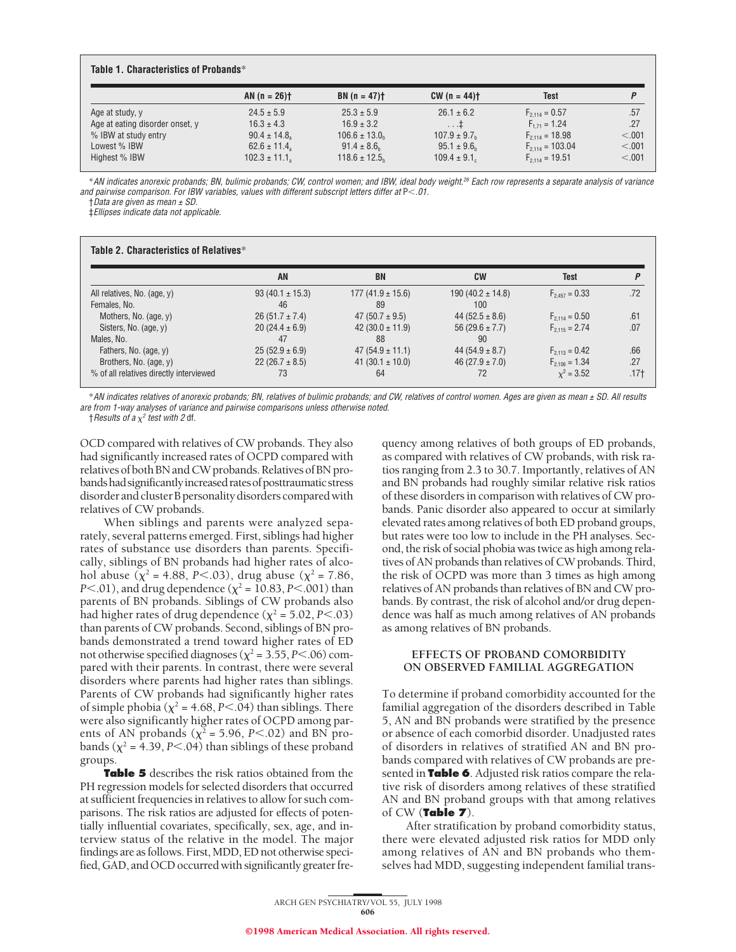|                                 | AN $(n = 26)$ †    | $BN(n = 47)$                  | $CW(n = 44)$                 | Test                 | P       |
|---------------------------------|--------------------|-------------------------------|------------------------------|----------------------|---------|
| Age at study, y                 | $24.5 \pm 5.9$     | $25.3 \pm 5.9$                | $26.1 \pm 6.2$               | $F_{2,114} = 0.57$   | .57     |
| Age at eating disorder onset, y | $16.3 \pm 4.3$     | $16.9 \pm 3.2$                | $\dots$ $\ddagger$           | $F_{1,71} = 1.24$    | .27     |
| % IBW at study entry            | $90.4 \pm 14.8$    | $106.6 \pm 13.0$ <sub>h</sub> | $107.9 \pm 9.7$ <sub>h</sub> | $F_{2,114} = 18.98$  | < 0.01  |
| Lowest % IBW                    | $62.6 \pm 11.4$    | $91.4 \pm 8.6$ <sub>h</sub>   | $95.1 \pm 9.6$ <sub>h</sub>  | $F_{2,114} = 103.04$ | < 0.001 |
| Highest % IBW                   | $102.3 \pm 11.1_a$ | $118.6 \pm 12.5$              | $109.4 \pm 9.1$              | $F_{2,114} = 19.51$  | < 0.001 |

\*AN indicates anorexic probands; BN, bulimic probands; CW, control women; and IBW, ideal body weight.<sup>26</sup> Each row represents <sup>a</sup> separate analysis of variance and pairwise comparison. For IBW variables, values with different subscript letters differ at  $\mathsf{P}{<}.01.$ 

 $\dagger$ Data are given as mean  $\pm$  SD.

‡Ellipses indicate data not applicable.

|                                         | AN                  | <b>BN</b>            | <b>CW</b>            | Test               |      |
|-----------------------------------------|---------------------|----------------------|----------------------|--------------------|------|
| All relatives, No. (age, y)             | $93(40.1 \pm 15.3)$ | $177(41.9 \pm 15.6)$ | $190(40.2 \pm 14.8)$ | $F_{2,457} = 0.33$ | .72  |
| Females, No.                            | 46                  | 89                   | 100                  |                    |      |
| Mothers, No. (age, y)                   | $26(51.7 \pm 7.4)$  | 47 $(50.7 \pm 9.5)$  | 44 $(52.5 \pm 8.6)$  | $F_{2.114} = 0.50$ | .61  |
| Sisters, No. (age, y)                   | $20(24.4 \pm 6.9)$  | 42 $(30.0 \pm 11.9)$ | 56 $(29.6 \pm 7.7)$  | $F_{2.115} = 2.74$ | .07  |
| Males, No.                              | 47                  | 88                   | 90                   |                    |      |
| Fathers, No. (age, y)                   | $25(52.9 \pm 6.9)$  | $47(54.9 \pm 11.1)$  | 44 $(54.9 \pm 8.7)$  | $F_{2,113} = 0.42$ | .66  |
| Brothers, No. (age, y)                  | $22(26.7 \pm 8.5)$  | 41 (30.1 $\pm$ 10.0) | 46 $(27.9 \pm 7.0)$  | $F_{2,106} = 1.34$ | .27  |
| % of all relatives directly interviewed | 73                  | 64                   | 72                   | $x^2 = 3.52$       | .17† |

\*AN indicates relatives of anorexic probands; BN, relatives of bulimic probands; and CW, relatives of control women. Ages are given as mean <sup>±</sup> SD. All results are from 1-way analyses of variance and pairwise comparisons unless otherwise noted.

 $\dagger$ Results of a  $\chi^2$  test with 2 df.

OCD compared with relatives of CW probands. They also had significantly increased rates of OCPD compared with relatives of both BN and CW probands. Relatives of BN probands had significantly increased rates of posttraumatic stress disorder and cluster B personality disorders compared with relatives of CW probands.

When siblings and parents were analyzed separately, several patterns emerged. First, siblings had higher rates of substance use disorders than parents. Specifically, siblings of BN probands had higher rates of alcohol abuse ( $\chi^2$  = 4.88, *P*<.03), drug abuse ( $\chi^2$  = 7.86, *P*<.01), and drug dependence ( $\chi^2$  = 10.83, *P*<.001) than parents of BN probands. Siblings of CW probands also had higher rates of drug dependence ( $\chi^2$  = 5.02, *P*<.03) than parents of CW probands. Second, siblings of BN probands demonstrated a trend toward higher rates of ED not otherwise specified diagnoses ( $\chi^2$  = 3.55, *P*<.06) compared with their parents. In contrast, there were several disorders where parents had higher rates than siblings. Parents of CW probands had significantly higher rates of simple phobia ( $\chi^2$  = 4.68, *P*<.04) than siblings. There were also significantly higher rates of OCPD among parents of AN probands ( $\chi^2$  = 5.96, *P*<.02) and BN probands ( $\chi^2$  = 4.39, *P*<.04) than siblings of these proband groups.

**Table 5** describes the risk ratios obtained from the PH regression models for selected disorders that occurred at sufficient frequencies in relatives to allow for such comparisons. The risk ratios are adjusted for effects of potentially influential covariates, specifically, sex, age, and interview status of the relative in the model. The major findings are as follows. First, MDD, ED not otherwise specified, GAD, and OCD occurred with significantly greater fre-

quency among relatives of both groups of ED probands, as compared with relatives of CW probands, with risk ratios ranging from 2.3 to 30.7. Importantly, relatives of AN and BN probands had roughly similar relative risk ratios of these disorders in comparison with relatives of CW probands. Panic disorder also appeared to occur at similarly elevated rates among relatives of both ED proband groups, but rates were too low to include in the PH analyses. Second, the risk of social phobia was twice as high among relatives of AN probands than relatives of CW probands. Third, the risk of OCPD was more than 3 times as high among relatives of AN probands than relatives of BN and CW probands. By contrast, the risk of alcohol and/or drug dependence was half as much among relatives of AN probands as among relatives of BN probands.

# **EFFECTS OF PROBAND COMORBIDITY ON OBSERVED FAMILIAL AGGREGATION**

To determine if proband comorbidity accounted for the familial aggregation of the disorders described in Table 5, AN and BN probands were stratified by the presence or absence of each comorbid disorder. Unadjusted rates of disorders in relatives of stratified AN and BN probands compared with relatives of CW probands are presented in **Table 6**. Adjusted risk ratios compare the relative risk of disorders among relatives of these stratified AN and BN proband groups with that among relatives of CW (**Table 7**).

After stratification by proband comorbidity status, there were elevated adjusted risk ratios for MDD only among relatives of AN and BN probands who themselves had MDD, suggesting independent familial trans-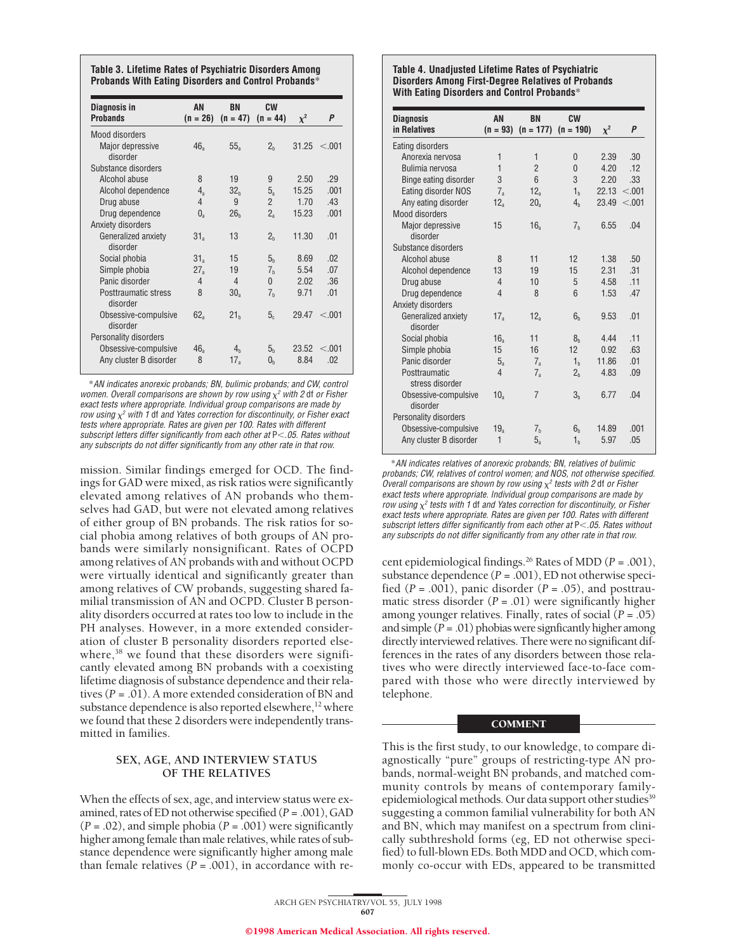**Table 3. Lifetime Rates of Psychiatric Disorders Among Probands With Eating Disorders and Control Probands**\*

| Diagnosis in<br><b>Probands</b>     | AN<br>$(n = 26)$ | <b>BN</b><br>$(n = 47)$ | <b>CW</b><br>$(n = 44)$ | $\chi^2$ | P       |
|-------------------------------------|------------------|-------------------------|-------------------------|----------|---------|
| Mood disorders                      |                  |                         |                         |          |         |
| <b>Major depressive</b><br>disorder | 46 <sub>a</sub>  | 55 <sub>a</sub>         | 2 <sub>h</sub>          | 31 25    | < 0.01  |
| Substance disorders                 |                  |                         |                         |          |         |
| Alcohol abuse                       | 8                | 19                      | 9                       | 2.50     | .29     |
| Alcohol dependence                  | $4_{\rm a}$      | 32 <sub>h</sub>         | $5_a$                   | 15.25    | .001    |
| Drug abuse                          | 4                | 9                       | $\overline{2}$          | 1.70     | .43     |
| Drug dependence                     | 0 <sub>a</sub>   | 26 <sub>h</sub>         | $2_{\rm a}$             | 15.23    | .001    |
| Anxiety disorders                   |                  |                         |                         |          |         |
| Generalized anxiety<br>disorder     | $31_a$           | 13                      | 2 <sub>b</sub>          | 11.30    | .01     |
| Social phobia                       | 31 <sub>a</sub>  | 15                      | 5 <sub>b</sub>          | 8.69     | .02     |
| Simple phobia                       | $27_a$           | 19                      | 7 <sub>b</sub>          | 5.54     | .07     |
| Panic disorder                      | 4                | 4                       | $\mathbf{0}$            | 2.02     | .36     |
| Posttraumatic stress<br>disorder    | 8                | $30_a$                  | 7 <sub>b</sub>          | 9.71     | .01     |
| Obsessive-compulsive<br>disorder    | $62_{a}$         | 21 <sub>h</sub>         | 5 <sub>c</sub>          | 29.47    | < 0.001 |
| Personality disorders               |                  |                         |                         |          |         |
| Obsessive-compulsive                | 46 <sub>a</sub>  | 4 <sub>h</sub>          | 5 <sub>b</sub>          | 23.52    | < 0.001 |
| Any cluster B disorder              | 8                | $17_a$                  | 0 <sub>h</sub>          | 8.84     | .02     |

\*AN indicates anorexic probands; BN, bulimic probands; and CW, control women. Overall comparisons are shown by row using  $\chi^2$  with 2 df or Fisher exact tests where appropriate. Individual group comparisons are made by row using  $x^2$  with 1 df and Yates correction for discontinuity, or Fisher exact tests where appropriate. Rates are given per 100. Rates with different subscript letters differ significantly from each other at  $P < .05$ . Rates without any subscripts do not differ significantly from any other rate in that row.

mission. Similar findings emerged for OCD. The findings for GAD were mixed, as risk ratios were significantly elevated among relatives of AN probands who themselves had GAD, but were not elevated among relatives of either group of BN probands. The risk ratios for social phobia among relatives of both groups of AN probands were similarly nonsignificant. Rates of OCPD among relatives of AN probands with and without OCPD were virtually identical and significantly greater than among relatives of CW probands, suggesting shared familial transmission of AN and OCPD. Cluster B personality disorders occurred at rates too low to include in the PH analyses. However, in a more extended consideration of cluster B personality disorders reported elsewhere,<sup>38</sup> we found that these disorders were significantly elevated among BN probands with a coexisting lifetime diagnosis of substance dependence and their relatives (*P* = .01). A more extended consideration of BN and substance dependence is also reported elsewhere,<sup>12</sup> where we found that these 2 disorders were independently transmitted in families.

# **SEX, AGE, AND INTERVIEW STATUS OF THE RELATIVES**

When the effects of sex, age, and interview status were examined, rates of ED not otherwise specified (*P* = .001), GAD (*P* = .02), and simple phobia (*P* = .001) were significantly higher among female than male relatives, while rates of substance dependence were significantly higher among male than female relatives  $(P = .001)$ , in accordance with re-

#### **Table 4. Unadjusted Lifetime Rates of Psychiatric Disorders Among First-Degree Relatives of Probands With Eating Disorders and Control Probands**\*

| <b>Diagnosis</b>                 | AN              | <b>BN</b>       | <b>CW</b>       |          | P       |
|----------------------------------|-----------------|-----------------|-----------------|----------|---------|
| in Relatives                     | $(n = 93)$      | $(n = 177)$     | $(n = 190)$     | $\chi^2$ |         |
| Eating disorders                 |                 |                 |                 |          |         |
| Anorexia nervosa                 | $\mathbf{1}$    | 1               | $\overline{0}$  | 2.39     | .30     |
| Bulimia nervosa                  | $\mathbf{1}$    | $\overline{2}$  | $\overline{0}$  | 4.20     | .12     |
| Binge eating disorder            | 3               | 6               | 3               | 2.20     | .33     |
| Eating disorder NOS              | $7_a$           | 12 <sub>a</sub> | 1 <sub>b</sub>  | 22.13    | < .001  |
| Any eating disorder              | 12 <sub>a</sub> | 20 <sub>a</sub> | 4 <sub>h</sub>  | 23.49    | < 0.001 |
| Mood disorders                   |                 |                 |                 |          |         |
| Maior depressive<br>disorder     | 15              | 16 <sub>a</sub> | 7 <sub>h</sub>  | 6.55     | .04     |
| Substance disorders              |                 |                 |                 |          |         |
| Alcohol abuse                    | 8               | 11              | 12              | 1.38     | .50     |
| Alcohol dependence               | 13              | 19              | 15              | 2.31     | .31     |
| Drug abuse                       | $\overline{4}$  | 10              | 5               | 4.58     | .11     |
| Drug dependence                  | $\overline{4}$  | 8               | $6\overline{6}$ | 1.53     | .47     |
| Anxiety disorders                |                 |                 |                 |          |         |
| Generalized anxiety<br>disorder  | $17_a$          | 12 <sub>a</sub> | 6 <sub>h</sub>  | 9.53     | .01     |
| Social phobia                    | 16 <sub>a</sub> | 11              | 8h              | 4.44     | .11     |
| Simple phobia                    | 15              | 16              | 12              | 0.92     | .63     |
| Panic disorder                   | $5_a$           | $7_a$           | 1 <sub>h</sub>  | 11.86    | .01     |
| Posttraumatic<br>stress disorder | 4               | $7_a$           | 2 <sub>h</sub>  | 4.83     | .09     |
| Obsessive-compulsive<br>disorder | 10 <sub>a</sub> | $\overline{7}$  | 3 <sub>b</sub>  | 6.77     | .04     |
| Personality disorders            |                 |                 |                 |          |         |
| Obsessive-compulsive             | 19 <sub>a</sub> | 7 <sub>h</sub>  | 6 <sub>h</sub>  | 14.89    | .001    |
| Any cluster B disorder           | $\mathbf{1}$    | $5_a$           | 1 <sub>b</sub>  | 5.97     | .05     |

\*AN indicates relatives of anorexic probands; BN, relatives of bulimic probands; CW, relatives of control women; and NOS, not otherwise specified. Overall comparisons are shown by row using  $\chi^2$  tests with 2 df or Fisher exact tests where appropriate. Individual group comparisons are made by row using  $x^2$  tests with 1 df and Yates correction for discontinuity, or Fisher exact tests where appropriate. Rates are given per 100. Rates with different subscript letters differ significantly from each other at  $P<.05$ . Rates without any subscripts do not differ significantly from any other rate in that row.

cent epidemiological findings.26 Rates of MDD (*P* = .001), substance dependence (*P* = .001), ED not otherwise specified  $(P = .001)$ , panic disorder  $(P = .05)$ , and posttraumatic stress disorder  $(P = .01)$  were significantly higher among younger relatives. Finally, rates of social (*P* = .05) and simple  $(P = .01)$  phobias were signficantly higher among directly interviewed relatives. There were no significant differences in the rates of any disorders between those relatives who were directly interviewed face-to-face compared with those who were directly interviewed by telephone.

#### **COMMENT**

This is the first study, to our knowledge, to compare diagnostically "pure" groups of restricting-type AN probands, normal-weight BN probands, and matched community controls by means of contemporary familyepidemiological methods. Our data support other studies<sup>39</sup> suggesting a common familial vulnerability for both AN and BN, which may manifest on a spectrum from clinically subthreshold forms (eg, ED not otherwise specified) to full-blown EDs. Both MDD and OCD, which commonly co-occur with EDs, appeared to be transmitted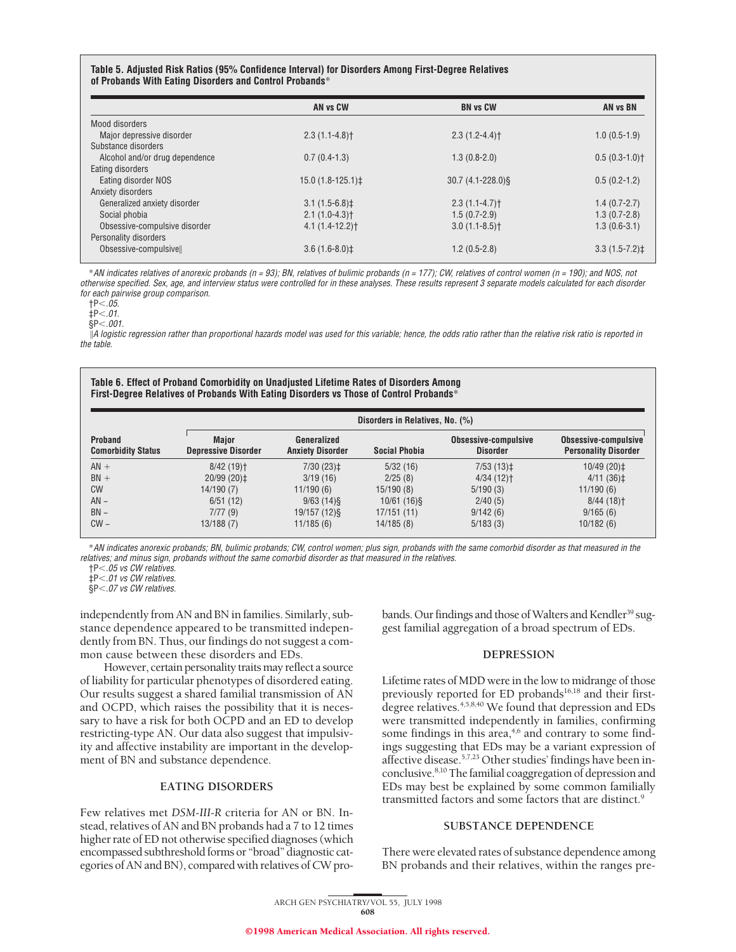#### **Table 5. Adjusted Risk Ratios (95% Confidence Interval) for Disorders Among First-Degree Relatives of Probands With Eating Disorders and Control Probands**\*

|                                | AN vs CW          | <b>BN vs CW</b>       | AN vs BN         |
|--------------------------------|-------------------|-----------------------|------------------|
| Mood disorders                 |                   |                       |                  |
| Major depressive disorder      | $2.3(1.1-4.8)$    | $2.3(1.2 - 4.4)$      | $1.0(0.5-1.9)$   |
| Substance disorders            |                   |                       |                  |
| Alcohol and/or drug dependence | $0.7(0.4-1.3)$    | $1.3(0.8-2.0)$        | $0.5(0.3-1.0)$   |
| Eating disorders               |                   |                       |                  |
| Eating disorder NOS            | $15.0(1.8-125.1)$ | $30.7(4.1 - 228.0)$ § | $0.5(0.2-1.2)$   |
| Anxiety disorders              |                   |                       |                  |
| Generalized anxiety disorder   | $3.1(1.5-6.8)$ ‡  | $2.3(1.1-4.7)$        | $1.4(0.7-2.7)$   |
| Social phobia                  | $2.1(1.0-4.3)$    | $1.5(0.7-2.9)$        | $1.3(0.7-2.8)$   |
| Obsessive-compulsive disorder  | $4.1(1.4-12.2)$   | $3.0(1.1-8.5)$        | $1.3(0.6-3.1)$   |
| Personality disorders          |                   |                       |                  |
| Obsessive-compulsivell         | $3.6(1.6-8.0)$ ‡  | $1.2(0.5-2.8)$        | $3.3(1.5-7.2)$ ‡ |

\*AN indicates relatives of anorexic probands (n <sup>=</sup> 93); BN, relatives of bulimic probands (n <sup>=</sup> 177); CW, relatives of control women (n <sup>=</sup> 190); and NOS, not otherwise specified. Sex, age, and interview status were controlled for in these analyses. These results represent 3 separate models calculated for each disorder for each pairwise group comparison.

 $+P<.05.$ 

 $\ddagger P < .01$ .

 $$P<.001$ .

 $\parallel$ A logistic regression rather than proportional hazards model was used for this variable; hence, the odds ratio rather than the relative risk ratio is reported in the table.

#### **Table 6. Effect of Proband Comorbidity on Unadjusted Lifetime Rates of Disorders Among First-Degree Relatives of Probands With Eating Disorders vs Those of Control Probands**\*

| <b>Proband</b><br><b>Comorbidity Status</b> | Disorders in Relatives, No. (%)            |                                        |               |                                         |                                                     |  |
|---------------------------------------------|--------------------------------------------|----------------------------------------|---------------|-----------------------------------------|-----------------------------------------------------|--|
|                                             | <b>Maior</b><br><b>Depressive Disorder</b> | Generalized<br><b>Anxiety Disorder</b> | Social Phobia | Obsessive-compulsive<br><b>Disorder</b> | Obsessive-compulsive<br><b>Personality Disorder</b> |  |
| $AN +$                                      | $8/42(19)$ <sup>+</sup>                    | $7/30(23)$ ‡                           | 5/32(16)      | $7/53(13)$ ‡                            | 10/49 (20)‡                                         |  |
| $BN +$                                      | $20/99(20)$ $\pm$                          | 3/19(16)                               | 2/25(8)       | $4/34(12)$ <sup>+</sup>                 | $4/11(36)$ ±                                        |  |
| <b>CW</b>                                   | 14/190 (7)                                 | 11/190(6)                              | 15/190(8)     | 5/190(3)                                | 11/190(6)                                           |  |
| $AN -$                                      | 6/51(12)                                   | $9/63$ (14) §                          | $10/61(16)$ § | 2/40(5)                                 | $8/44(18)$ <sup>+</sup>                             |  |
| $BN -$                                      | 7/77(9)                                    | 19/157 (12) §                          | 17/151 (11)   | 9/142(6)                                | 9/165(6)                                            |  |
| $CW -$                                      | 13/188 (7)                                 | 11/185(6)                              | 14/185(8)     | 5/183(3)                                | 10/182(6)                                           |  |

\*AN indicates anorexic probands; BN, bulimic probands; CW, control women; plus sign, probands with the same comorbid disorder as that measured in the relatives; and minus sign, probands without the same comorbid disorder as that measured in the relatives.

†P,.05 vs CW relatives.

 $\dot{\text{+P}}$ , 01 vs CW relatives.

 $\frac{1}{8}P<.07$  vs CW relatives.

independently from AN and BN in families. Similarly, substance dependence appeared to be transmitted independently from BN. Thus, our findings do not suggest a common cause between these disorders and EDs.

However, certain personality traits may reflect a source of liability for particular phenotypes of disordered eating. Our results suggest a shared familial transmission of AN and OCPD, which raises the possibility that it is necessary to have a risk for both OCPD and an ED to develop restricting-type AN. Our data also suggest that impulsivity and affective instability are important in the development of BN and substance dependence.

#### **EATING DISORDERS**

Few relatives met *DSM-III-R* criteria for AN or BN. Instead, relatives of AN and BN probands had a 7 to 12 times higher rate of ED not otherwise specified diagnoses (which encompassed subthreshold forms or "broad" diagnostic categories of AN and BN), compared with relatives of CW probands. Our findings and those of Walters and Kendler<sup>39</sup> suggest familial aggregation of a broad spectrum of EDs.

# **DEPRESSION**

Lifetime rates of MDD were in the low to midrange of those previously reported for ED probands<sup>16,18</sup> and their firstdegree relatives.<sup>4,5,8,40</sup> We found that depression and EDs were transmitted independently in families, confirming some findings in this area, $4,6$  and contrary to some findings suggesting that EDs may be a variant expression of affective disease.5,7,23 Other studies' findings have been inconclusive.8,10 The familial coaggregation of depression and EDs may best be explained by some common familially transmitted factors and some factors that are distinct.<sup>9</sup>

## **SUBSTANCE DEPENDENCE**

There were elevated rates of substance dependence among BN probands and their relatives, within the ranges pre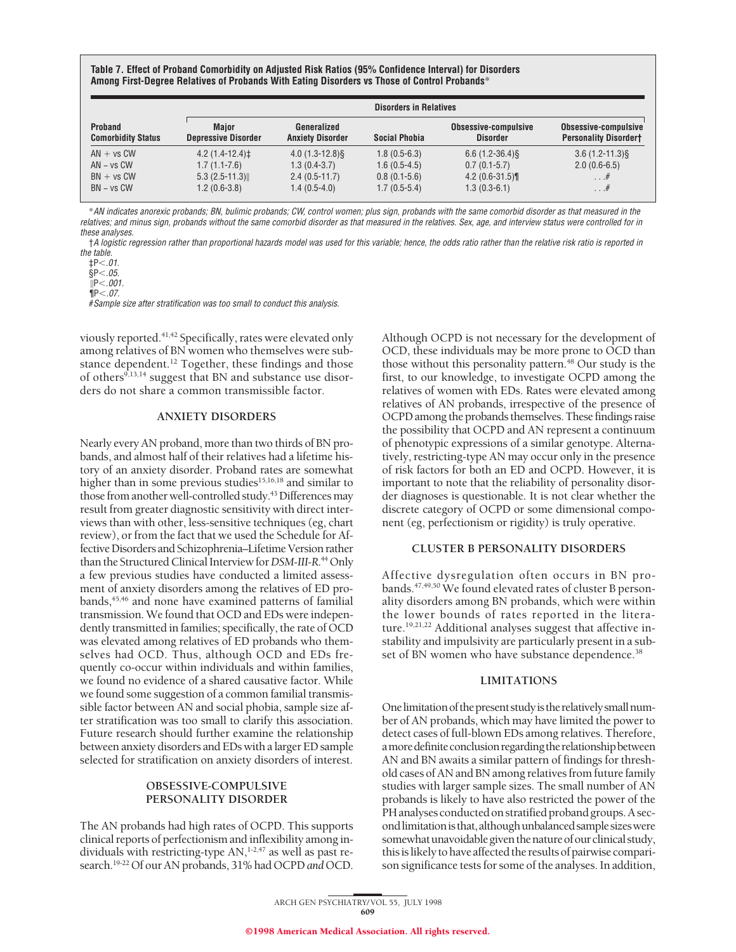**Table 7. Effect of Proband Comorbidity on Adjusted Risk Ratios (95% Confidence Interval) for Disorders Among First-Degree Relatives of Probands With Eating Disorders vs Those of Control Probands**\*

| Proband<br><b>Comorbidity Status</b>                         | <b>Disorders in Relatives</b>                                            |                                                                        |                                                                      |                                                                         |                                                          |  |
|--------------------------------------------------------------|--------------------------------------------------------------------------|------------------------------------------------------------------------|----------------------------------------------------------------------|-------------------------------------------------------------------------|----------------------------------------------------------|--|
|                                                              | <b>Maior</b><br><b>Depressive Disorder</b>                               | Generalized<br><b>Anxiety Disorder</b>                                 | <b>Social Phobia</b>                                                 | Obsessive-compulsive<br><b>Disorder</b>                                 | Obsessive-compulsive<br><b>Personality Disordert</b>     |  |
| $AN + vs CW$<br>$AN - vs CW$<br>$BN + vs CW$<br>$BN - vs CW$ | $4.2(1.4-12.4)$ ‡<br>$1.7(1.1-7.6)$<br>$5.3(2.5-11.3)$<br>$1.2(0.6-3.8)$ | $4.0(1.3-12.8)$<br>$1.3(0.4-3.7)$<br>$2.4(0.5-11.7)$<br>$1.4(0.5-4.0)$ | $1.8(0.5-6.3)$<br>$1.6(0.5-4.5)$<br>$0.8(0.1-5.6)$<br>$1.7(0.5-5.4)$ | $6.6(1.2-36.4)\$<br>$0.7(0.1-5.7)$<br>$4.2(0.6-31.5)$<br>$1.3(0.3-6.1)$ | $3.6(1.2 - 11.3)$ §<br>$2.0(0.6-6.5)$<br>$\dots$ #<br>.# |  |

\*AN indicates anorexic probands; BN, bulimic probands; CW, control women; plus sign, probands with the same comorbid disorder as that measured in the relatives; and minus sign, probands without the same comorbid disorder as that measured in the relatives. Sex, age, and interview status were controlled for in these analyses.

†A logistic regression rather than proportional hazards model was used for this variable; hence, the odds ratio rather than the relative risk ratio is reported in the table.

 $\S P < .05.$ 

 $\text{NP} < .001.$ 

 $\P P < .07.$ 

#Sample size after stratification was too small to conduct this analysis.

viously reported.<sup>41,42</sup> Specifically, rates were elevated only among relatives of BN women who themselves were substance dependent.<sup>12</sup> Together, these findings and those of others<sup>9,13,14</sup> suggest that BN and substance use disorders do not share a common transmissible factor.

# **ANXIETY DISORDERS**

Nearly every AN proband, more than two thirds of BN probands, and almost half of their relatives had a lifetime history of an anxiety disorder. Proband rates are somewhat higher than in some previous studies<sup>15,16,18</sup> and similar to those from another well-controlled study.43 Differences may result from greater diagnostic sensitivity with direct interviews than with other, less-sensitive techniques (eg, chart review), or from the fact that we used the Schedule for Affective Disorders and Schizophrenia–Lifetime Version rather than the Structured Clinical Interview for DSM-III-R.<sup>44</sup> Only a few previous studies have conducted a limited assessment of anxiety disorders among the relatives of ED probands,<sup>45,46</sup> and none have examined patterns of familial transmission. We found that OCD and EDs were independently transmitted in families; specifically, the rate of OCD was elevated among relatives of ED probands who themselves had OCD. Thus, although OCD and EDs frequently co-occur within individuals and within families, we found no evidence of a shared causative factor. While we found some suggestion of a common familial transmissible factor between AN and social phobia, sample size after stratification was too small to clarify this association. Future research should further examine the relationship between anxiety disorders and EDs with a larger ED sample selected for stratification on anxiety disorders of interest.

# **OBSESSIVE-COMPULSIVE PERSONALITY DISORDER**

The AN probands had high rates of OCPD. This supports clinical reports of perfectionism and inflexibility among individuals with restricting-type  $AN$ ,<sup>1-2,47</sup> as well as past research.19-22 Of our AN probands, 31% had OCPD *and* OCD.

Although OCPD is not necessary for the development of OCD, these individuals may be more prone to OCD than those without this personality pattern.<sup>48</sup> Our study is the first, to our knowledge, to investigate OCPD among the relatives of women with EDs. Rates were elevated among relatives of AN probands, irrespective of the presence of OCPD among the probands themselves. These findings raise the possibility that OCPD and AN represent a continuum of phenotypic expressions of a similar genotype. Alternatively, restricting-type AN may occur only in the presence of risk factors for both an ED and OCPD. However, it is important to note that the reliability of personality disorder diagnoses is questionable. It is not clear whether the discrete category of OCPD or some dimensional component (eg, perfectionism or rigidity) is truly operative.

# **CLUSTER B PERSONALITY DISORDERS**

Affective dysregulation often occurs in BN probands.<sup>47,49,50</sup> We found elevated rates of cluster B personality disorders among BN probands, which were within the lower bounds of rates reported in the literature.<sup>19,21,22</sup> Additional analyses suggest that affective instability and impulsivity are particularly present in a subset of BN women who have substance dependence.<sup>38</sup>

#### **LIMITATIONS**

One limitation of the present study is the relatively small number of AN probands, which may have limited the power to detect cases of full-blown EDs among relatives. Therefore, a more definite conclusion regarding the relationship between AN and BN awaits a similar pattern of findings for threshold cases of AN and BN among relatives from future family studies with larger sample sizes. The small number of AN probands is likely to have also restricted the power of the PH analyses conducted on stratified proband groups. A second limitation is that, although unbalanced sample sizes were somewhat unavoidable given the nature of our clinical study, this is likely to have affected the results of pairwise comparison significance tests for some of the analyses. In addition,

 $\sharp P<.01$ .